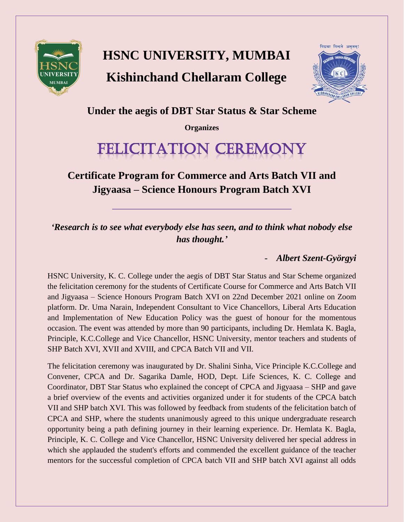

## **HSNC UNIVERSITY, MUMBAI Kishinchand Chellaram College**



**Under the aegis of DBT Star Status & Star Scheme**

**Organizes**

# FELICITATION CEREMONY

**Certificate Program for Commerce and Arts Batch VII and Jigyaasa – Science Honours Program Batch XVI**

*'Research is to see what everybody else has seen, and to think what nobody else has thought.'*

### - *Albert Szent-Györgyi*

HSNC University, K. C. College under the aegis of DBT Star Status and Star Scheme organized the felicitation ceremony for the students of Certificate Course for Commerce and Arts Batch VII and Jigyaasa – Science Honours Program Batch XVI on 22nd December 2021 online on Zoom platform. Dr. Uma Narain, Independent Consultant to Vice Chancellors, Liberal Arts Education and Implementation of New Education Policy was the guest of honour for the momentous occasion. The event was attended by more than 90 participants, including Dr. Hemlata K. Bagla, Principle, K.C.College and Vice Chancellor, HSNC University, mentor teachers and students of SHP Batch XVI, XVII and XVIII, and CPCA Batch VII and VII.

The felicitation ceremony was inaugurated by Dr. Shalini Sinha, Vice Principle K.C.College and Convener, CPCA and Dr. Sagarika Damle, HOD, Dept. Life Sciences, K. C. College and Coordinator, DBT Star Status who explained the concept of CPCA and Jigyaasa – SHP and gave a brief overview of the events and activities organized under it for students of the CPCA batch VII and SHP batch XVI. This was followed by feedback from students of the felicitation batch of CPCA and SHP, where the students unanimously agreed to this unique undergraduate research opportunity being a path defining journey in their learning experience. Dr. Hemlata K. Bagla, Principle, K. C. College and Vice Chancellor, HSNC University delivered her special address in which she applauded the student's efforts and commended the excellent guidance of the teacher mentors for the successful completion of CPCA batch VII and SHP batch XVI against all odds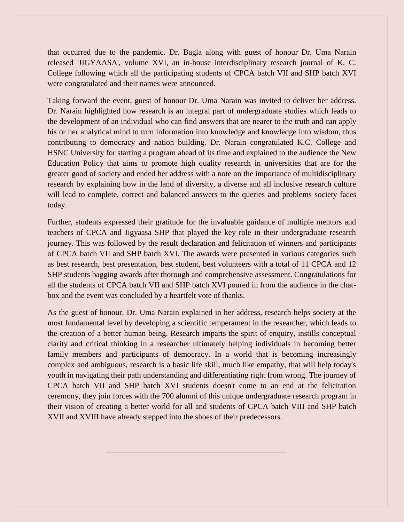that occurred due to the pandemic. Dr. Bagla along with guest of honour Dr. Uma Narain released 'JIGYAASA', volume XVI, an in-house interdisciplinary research journal of K. C. College following which all the participating students of CPCA batch VII and SHP batch XVI were congratulated and their names were announced.

Taking forward the event, guest of honour Dr. Uma Narain was invited to deliver her address. Dr. Narain highlighted how research is an integral part of undergraduate studies which leads to the development of an individual who can find answers that are nearer to the truth and can apply his or her analytical mind to turn information into knowledge and knowledge into wisdom, thus contributing to democracy and nation building. Dr. Narain congratulated K.C. College and HSNC University for starting a program ahead of its time and explained to the audience the New Education Policy that aims to promote high quality research in universities that are for the greater good of society and ended her address with a note on the importance of multidisciplinary research by explaining how in the land of diversity, a diverse and all inclusive research culture will lead to complete, correct and balanced answers to the queries and problems society faces today.

Further, students expressed their gratitude for the invaluable guidance of multiple mentors and teachers of CPCA and Jigyaasa SHP that played the key role in their undergraduate research journey. This was followed by the result declaration and felicitation of winners and participants of CPCA batch VII and SHP batch XVI. The awards were presented in various categories such as best research, best presentation, best student, best volunteers with a total of 11 CPCA and 12 SHP students bagging awards after thorough and comprehensive assessment. Congratulations for all the students of CPCA batch VII and SHP batch XVI poured in from the audience in the chatbox and the event was concluded by a heartfelt vote of thanks.

As the guest of honour, Dr. Uma Narain explained in her address, research helps society at the most fundamental level by developing a scientific temperament in the researcher, which leads to the creation of a better human being. Research imparts the spirit of enquiry, instills conceptual clarity and critical thinking in a researcher ultimately helping individuals in becoming better family members and participants of democracy. In a world that is becoming increasingly complex and ambiguous, research is a basic life skill, much like empathy, that will help today's youth in navigating their path understanding and differentiating right from wrong. The journey of CPCA batch VII and SHP batch XVI students doesn't come to an end at the felicitation ceremony, they join forces with the 700 alumni of this unique undergraduate research program in their vision of creating a better world for all and students of CPCA batch VIII and SHP batch XVII and XVIII have already stepped into the shoes of their predecessors.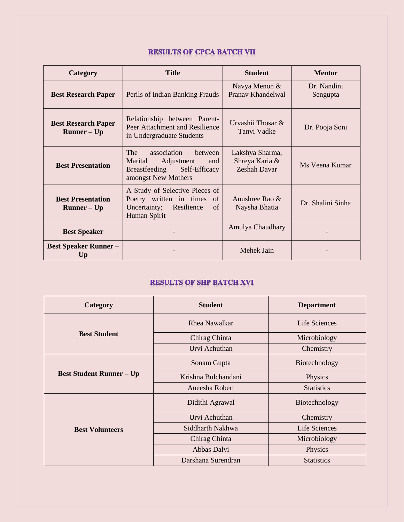#### **RESULTS OF CPCA BATCH VII**

| Category                                                      | <b>Title</b>                                                                                                           | <b>Student</b>                                           | <b>Mentor</b>           |
|---------------------------------------------------------------|------------------------------------------------------------------------------------------------------------------------|----------------------------------------------------------|-------------------------|
| <b>Best Research Paper</b>                                    | Perils of Indian Banking Frauds                                                                                        | Navya Menon &<br>Pranav Khandelwal                       | Dr. Nandini<br>Sengupta |
| <b>Best Research Paper</b><br>$\mathbf{Runner} - \mathbf{Up}$ | Relationship between Parent-<br>Peer Attachment and Resilience<br>in Undergraduate Students                            | Urvashii Thosar $\&$<br>Tanvi Vadke                      | Dr. Pooja Soni          |
| <b>Best Presentation</b>                                      | The<br>association<br>between<br>Adjustment<br>Marital<br>and<br>Self-Efficacy<br>Breastfeeding<br>amongst New Mothers | Lakshya Sharma,<br>Shreya Karia &<br><b>Zeshah Davar</b> | Ms Veena Kumar          |
| <b>Best Presentation</b><br>$Runner - Up$                     | A Study of Selective Pieces of<br>Poetry written in times of<br>Uncertainty;<br>Resilience<br>of<br>Human Spirit       | Anushree Rao $\&$<br>Naysha Bhatia                       | Dr. Shalini Sinha       |
| <b>Best Speaker</b>                                           |                                                                                                                        | Amulya Chaudhary                                         |                         |
| <b>Best Speaker Runner –</b><br>Up                            |                                                                                                                        | Mehek Jain                                               |                         |

#### **RESULTS OF SHP BATCH XVI**

| Category                        | <b>Student</b>       | <b>Department</b> |
|---------------------------------|----------------------|-------------------|
|                                 | <b>Rhea Nawalkar</b> | Life Sciences     |
| <b>Best Student</b>             | Chirag Chinta        | Microbiology      |
|                                 | Urvi Achuthan        | Chemistry         |
| <b>Best Student Runner – Up</b> | Sonam Gupta          | Biotechnology     |
|                                 | Krishna Bulchandani  | Physics           |
|                                 | Aneesha Robert       | <b>Statistics</b> |
| <b>Best Volunteers</b>          | Didithi Agrawal      | Biotechnology     |
|                                 | Urvi Achuthan        | Chemistry         |
|                                 | Siddharth Nakhwa     | Life Sciences     |
|                                 | Chirag Chinta        | Microbiology      |
|                                 | Abbas Dalvi          | Physics           |
|                                 | Darshana Surendran   | <b>Statistics</b> |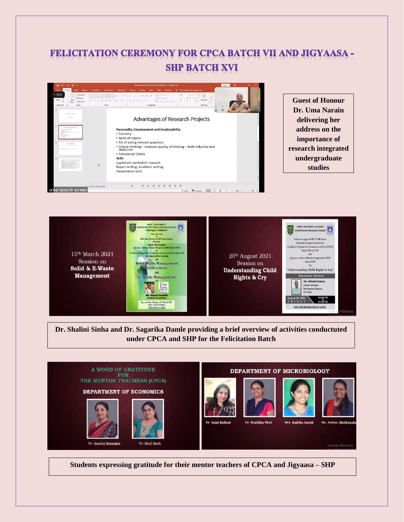### **FELICITATION CEREMONY FOR CPCA BATCH VII AND JIGYAASA -SHP BATCH XVI**



**Guest of Honour Dr. Uma Narain delivering her address on the importance of research integrated undergraduate studies**



**Dr. Shalini Sinha and Dr. Sagarika Damle providing a brief overview of activities conductuted under CPCA and SHP for the Felicitation Batch**



**Students expressing gratitude for their mentor teachers of CPCA and Jigyaasa – SHP**